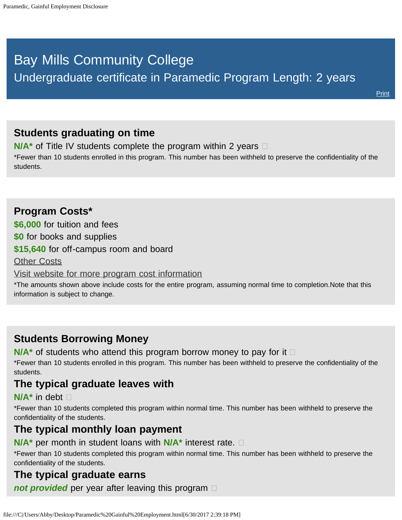# <span id="page-0-0"></span>Bay Mills Community College Undergraduate certificate in Paramedic Program Length: 2 years

## **Students graduating on time**

**N/A<sup>\*</sup>** of Title IV students complete the program within 2 years  $\Box$ 

\*Fewer than 10 students enrolled in this program. This number has been withheld to preserve the confidentiality of the students.

**Program Costs\* \$6,000** for tuition and fees **\$0** for books and supplies **\$15,640** for off-campus room and board [Other Costs](#page-0-0) [Visit website for more program cost information](http://bmcc.edu/admissions/financial-aid/understanding-tuition)

\*The amounts shown above include costs for the entire program, assuming normal time to completion.Note that this information is subject to change.

## **Students Borrowing Money**

**N/A<sup>\*</sup>** of students who attend this program borrow money to pay for it  $\Box$ 

\*Fewer than 10 students enrolled in this program. This number has been withheld to preserve the confidentiality of the students.

## **The typical graduate leaves with**

#### **N/A\*** in debt

\*Fewer than 10 students completed this program within normal time. This number has been withheld to preserve the confidentiality of the students.

#### **The typical monthly loan payment**

**N/A\*** per month in student loans with **N/A\*** interest rate.

\*Fewer than 10 students completed this program within normal time. This number has been withheld to preserve the confidentiality of the students.

### **The typical graduate earns**

*not provided* per year after leaving this program  $\Box$